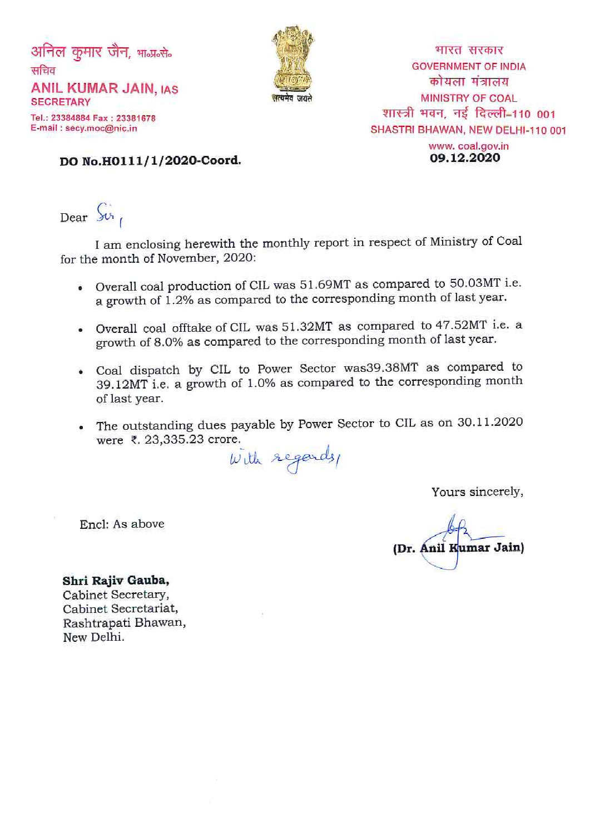अनिल कुमार जैन, भाजन्से सचिव **ANIL KUMAR JAIN, IAS SECRETARY** 



भारत सरकार **GOVERNMENT OF INDIA** कोयला मंत्रालय **MINISTRY OF COAL** शास्त्री भवन, नई दिल्ली-110 001 SHASTRI BHAWAN, NEW DELHI-110 001 www.coal.gov.in 09.12.2020

DO No.H0111/1/2020-Coord.

Dear  $\int_{\mathcal{U}_1}$ 

Tel.: 23384884 Fax: 23381678 E-mail: secy.moc@nic.in

> I am enclosing herewith the monthly report in respect of Ministry of Coal for the month of November, 2020:

- Overall coal production of CIL was 51.69MT as compared to 50.03MT i.e. a growth of 1.2% as compared to the corresponding month of last year.
- Overall coal offtake of CIL was 51.32MT as compared to 47.52MT i.e. a growth of 8.0% as compared to the corresponding month of last year.
- Coal dispatch by CIL to Power Sector was39.38MT as compared to 39.12MT i.e. a growth of 1.0% as compared to the corresponding month of last year.
- The outstanding dues payable by Power Sector to CIL as on 30.11.2020  $\bullet$ were ₹. 23,335.23 crore.

with regards,

Yours sincerely,

(Dr. Anil Kumar Jain)

Encl: As above

Shri Rajiv Gauba, Cabinet Secretary, Cabinet Secretariat, Rashtrapati Bhawan, New Delhi.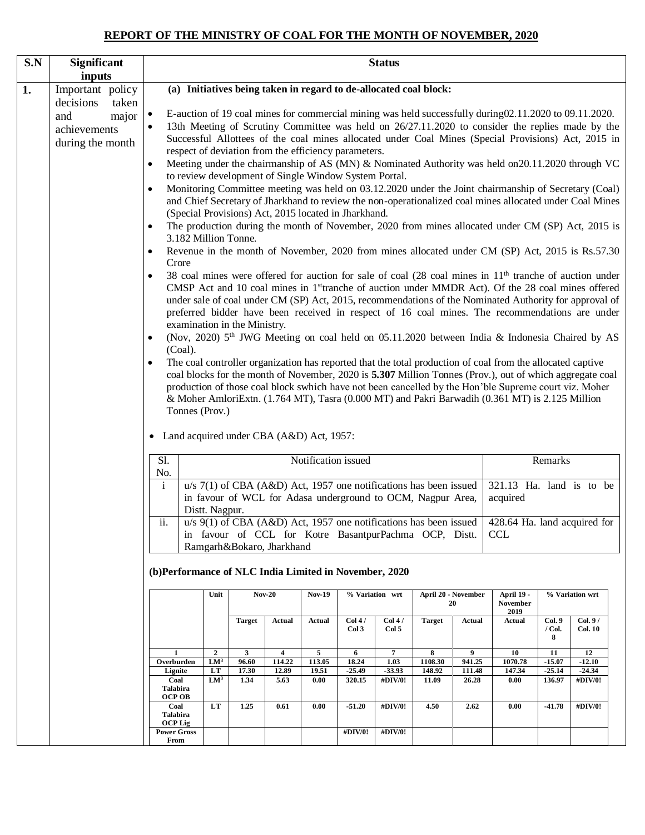## **REPORT OF THE MINISTRY OF COAL FOR THE MONTH OF NOVEMBER, 2020**

| S.N | <b>Significant</b>                                                                                   |                                                                                                                            |         |                                                                                                              |                                                                 |                                                                                                                                                                |                                                                                        |                                                                                                                                                                       | <b>Status</b>                                                                                  |                                                                                                                                                                                                                                                                                                                                 |                                                                               |                                                                                                                                                                                                                                                                                                                                                                                                                                                                                                                                                                                                                                                                                                                                                                                                                                                                                                                                                                                                                                                                                                                                                                                                                                                                                                                                                                                                                                                                                                                                                                                                                                                                                                                                                            |                                                                                        |                                                                                                  |  |
|-----|------------------------------------------------------------------------------------------------------|----------------------------------------------------------------------------------------------------------------------------|---------|--------------------------------------------------------------------------------------------------------------|-----------------------------------------------------------------|----------------------------------------------------------------------------------------------------------------------------------------------------------------|----------------------------------------------------------------------------------------|-----------------------------------------------------------------------------------------------------------------------------------------------------------------------|------------------------------------------------------------------------------------------------|---------------------------------------------------------------------------------------------------------------------------------------------------------------------------------------------------------------------------------------------------------------------------------------------------------------------------------|-------------------------------------------------------------------------------|------------------------------------------------------------------------------------------------------------------------------------------------------------------------------------------------------------------------------------------------------------------------------------------------------------------------------------------------------------------------------------------------------------------------------------------------------------------------------------------------------------------------------------------------------------------------------------------------------------------------------------------------------------------------------------------------------------------------------------------------------------------------------------------------------------------------------------------------------------------------------------------------------------------------------------------------------------------------------------------------------------------------------------------------------------------------------------------------------------------------------------------------------------------------------------------------------------------------------------------------------------------------------------------------------------------------------------------------------------------------------------------------------------------------------------------------------------------------------------------------------------------------------------------------------------------------------------------------------------------------------------------------------------------------------------------------------------------------------------------------------------|----------------------------------------------------------------------------------------|--------------------------------------------------------------------------------------------------|--|
| 1.  | inputs<br>Important policy<br>decisions<br>taken<br>major<br>and<br>achievements<br>during the month | $\bullet$<br>$\bullet$<br>$\bullet$<br>$\bullet$<br>$\bullet$<br>$\bullet$<br>Crore<br>$\bullet$<br>$\bullet$<br>$\bullet$ | (Coal). |                                                                                                              | 3.182 Million Tonne.<br>examination in the Ministry.            |                                                                                                                                                                |                                                                                        | respect of deviation from the efficiency parameters.<br>to review development of Single Window System Portal.<br>(Special Provisions) Act, 2015 located in Jharkhand. |                                                                                                | (a) Initiatives being taken in regard to de-allocated coal block:                                                                                                                                                                                                                                                               |                                                                               | E-auction of 19 coal mines for commercial mining was held successfully during 02.11.2020 to 09.11.2020.<br>13th Meeting of Scrutiny Committee was held on 26/27.11.2020 to consider the replies made by the<br>Successful Allottees of the coal mines allocated under Coal Mines (Special Provisions) Act, 2015 in<br>Meeting under the chairman ship of AS (MN) & Nominated Authority was held on 20.11.2020 through VC<br>Monitoring Committee meeting was held on 03.12.2020 under the Joint chairmanship of Secretary (Coal)<br>and Chief Secretary of Jharkhand to review the non-operationalized coal mines allocated under Coal Mines<br>The production during the month of November, 2020 from mines allocated under CM (SP) Act, 2015 is<br>Revenue in the month of November, 2020 from mines allocated under CM (SP) Act, 2015 is Rs.57.30<br>38 coal mines were offered for auction for sale of coal (28 coal mines in 11 <sup>th</sup> tranche of auction under<br>CMSP Act and 10 coal mines in 1 <sup>st</sup> tranche of auction under MMDR Act). Of the 28 coal mines offered<br>under sale of coal under CM (SP) Act, 2015, recommendations of the Nominated Authority for approval of<br>preferred bidder have been received in respect of 16 coal mines. The recommendations are under<br>(Nov, 2020) 5 <sup>th</sup> JWG Meeting on coal held on 05.11.2020 between India & Indonesia Chaired by AS<br>The coal controller organization has reported that the total production of coal from the allocated captive<br>coal blocks for the month of November, 2020 is 5.307 Million Tonnes (Prov.), out of which aggregate coal<br>production of those coal block swhich have not been cancelled by the Hon'ble Supreme court viz. Moher |                                                                                        |                                                                                                  |  |
|     |                                                                                                      | Sl.<br>No.<br>$\mathbf{i}$<br>ii.<br>1<br>Overburden<br>Lignite<br>Coal<br><b>Talabira</b><br>$OCP$ OB<br>Coal             |         | Tonnes (Prov.)<br>Distt. Nagpur.<br>Unit<br>$\overline{2}$<br>LM <sup>3</sup><br>LT<br>LM <sup>3</sup><br>LT | <b>Target</b><br>$\mathbf{3}$<br>96.60<br>17.30<br>1.34<br>1.25 | • Land acquired under CBA (A&D) Act, 1957:<br>Ramgarh&Bokaro, Jharkhand<br><b>Nov-20</b><br><b>Actual</b><br>$\overline{4}$<br>114.22<br>12.89<br>5.63<br>0.61 | Notification issued<br><b>Nov-19</b><br>Actual<br>5<br>113.05<br>19.51<br>0.00<br>0.00 | (b)Performance of NLC India Limited in November, 2020<br>Col 4/<br>Col 3<br>6<br>18.24<br>$-25.49$<br>320.15<br>$-51.20$                                              | % Variation wrt<br>Col 4/<br>Col 5<br>$\overline{7}$<br>1.03<br>$-33.93$<br>#DIV/0!<br>#DIV/0! | $u/s$ 7(1) of CBA (A&D) Act, 1957 one notifications has been issued<br>in favour of WCL for Adasa underground to OCM, Nagpur Area,<br>$u/s$ 9(1) of CBA (A&D) Act, 1957 one notifications has been issued<br>in favour of CCL for Kotre BasantpurPachma OCP, Distt.<br><b>Target</b><br>8<br>1108.30<br>148.92<br>11.09<br>4.50 | April 20 - November<br>20<br>Actual<br>9<br>941.25<br>111.48<br>26.28<br>2.62 | & Moher AmloriExtn. (1.764 MT), Tasra (0.000 MT) and Pakri Barwadih (0.361 MT) is 2.125 Million<br>321.13 Ha. land is to be<br>acquired<br>428.64 Ha. land acquired for<br><b>CCL</b><br>April 19 -<br>November<br>2019<br>Actual<br>10<br>1070.78<br>147.34<br>0.00<br>$0.00\,$                                                                                                                                                                                                                                                                                                                                                                                                                                                                                                                                                                                                                                                                                                                                                                                                                                                                                                                                                                                                                                                                                                                                                                                                                                                                                                                                                                                                                                                                           | Remarks<br>Col. 9<br>$/$ Col.<br>8<br>11<br>$-15.07$<br>$-25.14$<br>136.97<br>$-41.78$ | % Variation wrt<br>Col. 9/<br><b>Col. 10</b><br>12<br>$-12.10$<br>$-24.34$<br>#DIV/0!<br>#DIV/0! |  |
|     |                                                                                                      | Talabira<br><b>OCP Lig</b><br><b>Power Gross</b><br>From                                                                   |         |                                                                                                              |                                                                 |                                                                                                                                                                |                                                                                        | #DIV/0!                                                                                                                                                               | #DIV/0!                                                                                        |                                                                                                                                                                                                                                                                                                                                 |                                                                               |                                                                                                                                                                                                                                                                                                                                                                                                                                                                                                                                                                                                                                                                                                                                                                                                                                                                                                                                                                                                                                                                                                                                                                                                                                                                                                                                                                                                                                                                                                                                                                                                                                                                                                                                                            |                                                                                        |                                                                                                  |  |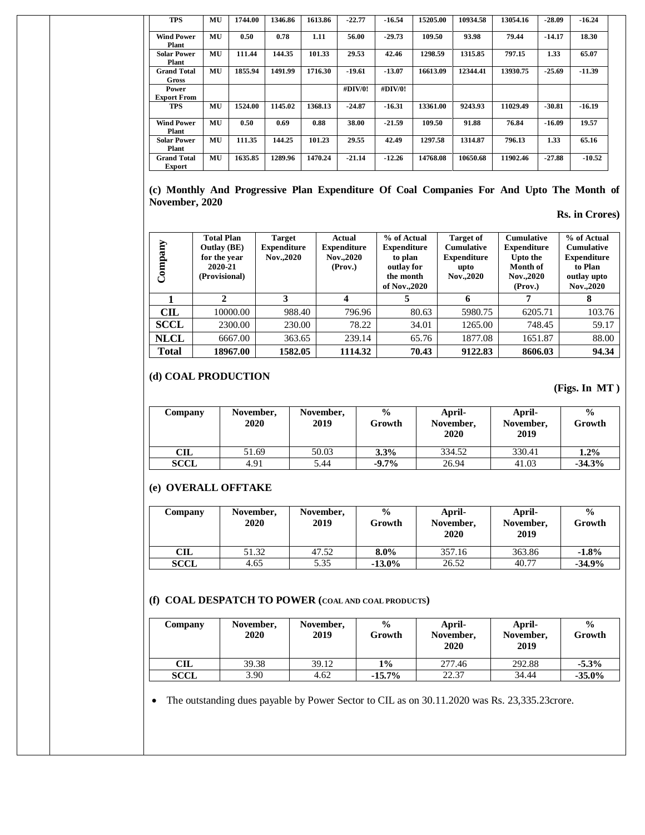| <b>TPS</b>                          | MU | 1744.00 | 1346.86 | 1613.86 | $-22.77$ | $-16.54$ | 15205.00 | 10934.58 | 13054.16 | $-28.09$ | $-16.24$ |
|-------------------------------------|----|---------|---------|---------|----------|----------|----------|----------|----------|----------|----------|
| <b>Wind Power</b><br><b>Plant</b>   | MU | 0.50    | 0.78    | 1.11    | 56.00    | $-29.73$ | 109.50   | 93.98    | 79.44    | $-14.17$ | 18.30    |
| <b>Solar Power</b><br>Plant         | MU | 111.44  | 144.35  | 101.33  | 29.53    | 42.46    | 1298.59  | 1315.85  | 797.15   | 1.33     | 65.07    |
| <b>Grand Total</b><br>Gross         | MU | 1855.94 | 1491.99 | 1716.30 | $-19.61$ | $-13.07$ | 16613.09 | 12344.41 | 13930.75 | $-25.69$ | $-11.39$ |
| Power<br><b>Export From</b>         |    |         |         |         | #DIV/0!  | #DIV/0!  |          |          |          |          |          |
| TPS                                 | MU | 1524.00 | 1145.02 | 1368.13 | $-24.87$ | $-16.31$ | 13361.00 | 9243.93  | 11029.49 | $-30.81$ | $-16.19$ |
| <b>Wind Power</b><br>Plant          | MU | 0.50    | 0.69    | 0.88    | 38.00    | $-21.59$ | 109.50   | 91.88    | 76.84    | $-16.09$ | 19.57    |
| <b>Solar Power</b><br>Plant         | MU | 111.35  | 144.25  | 101.23  | 29.55    | 42.49    | 1297.58  | 1314.87  | 796.13   | 1.33     | 65.16    |
| <b>Grand Total</b><br><b>Export</b> | MU | 1635.85 | 1289.96 | 1470.24 | $-21.14$ | $-12.26$ | 14768.08 | 10650.68 | 11902.46 | $-27.88$ | $-10.52$ |

**(c) Monthly And Progressive Plan Expenditure Of Coal Companies For And Upto The Month of November, 2020**

**Rs. in Crores)**

| Company      | <b>Total Plan</b><br><b>Outlay (BE)</b><br>for the year<br>2020-21<br>(Provisional) | <b>Target</b><br><b>Expenditure</b><br><b>Nov.,2020</b> | Actual<br><b>Expenditure</b><br><b>Nov.,2020</b><br>(Prov.) | % of Actual<br><b>Expenditure</b><br>to plan<br>outlay for<br>the month<br>of Nov.,2020 | <b>Target of</b><br><b>Cumulative</b><br><b>Expenditure</b><br>upto<br>Nov.,2020 | <b>Cumulative</b><br><b>Expenditure</b><br>Upto the<br>Month of<br><b>Nov.,2020</b><br>(Prov.) | % of Actual<br><b>Cumulative</b><br><b>Expenditure</b><br>to Plan<br>outlay upto<br><b>Nov.,2020</b> |
|--------------|-------------------------------------------------------------------------------------|---------------------------------------------------------|-------------------------------------------------------------|-----------------------------------------------------------------------------------------|----------------------------------------------------------------------------------|------------------------------------------------------------------------------------------------|------------------------------------------------------------------------------------------------------|
|              |                                                                                     |                                                         |                                                             |                                                                                         | 6                                                                                |                                                                                                | 8                                                                                                    |
| <b>CIL</b>   | 10000.00                                                                            | 988.40                                                  | 796.96                                                      | 80.63                                                                                   | 5980.75                                                                          | 6205.71                                                                                        | 103.76                                                                                               |
| <b>SCCL</b>  | 2300.00                                                                             | 230.00                                                  | 78.22                                                       | 34.01                                                                                   | 1265.00                                                                          | 748.45                                                                                         | 59.17                                                                                                |
| <b>NLCL</b>  | 6667.00                                                                             | 363.65                                                  | 239.14                                                      | 65.76                                                                                   | 1877.08                                                                          | 1651.87                                                                                        | 88.00                                                                                                |
| <b>Total</b> | 18967.00                                                                            | 1582.05                                                 | 1114.32                                                     | 70.43                                                                                   | 9122.83                                                                          | 8606.03                                                                                        | 94.34                                                                                                |

#### **(d) COAL PRODUCTION**

**(Figs. In MT )**

| Company     | November,<br>2020 | November,<br>2019 | $\frac{0}{0}$<br>Growth | April-<br>November.<br>2020 | April-<br>November,<br>2019 | $\frac{0}{0}$<br>Growth |
|-------------|-------------------|-------------------|-------------------------|-----------------------------|-----------------------------|-------------------------|
| CIL         | 51.69             | 50.03             | 3.3%                    | 334.52                      | 330.41                      | $1.2\%$                 |
| <b>SCCL</b> | 4.91              | 5.44              | $-9.7\%$                | 26.94                       | 41.03                       | $-34.3%$                |

### **(e) OVERALL OFFTAKE**

| Company     | November,<br>2020 | November,<br>2019 | $\frac{0}{0}$<br>Growth | April-<br>November,<br>2020 | April-<br>November,<br>2019 | $\frac{0}{0}$<br>Growth |
|-------------|-------------------|-------------------|-------------------------|-----------------------------|-----------------------------|-------------------------|
| CIL         | 51.32             | 47.52             | $8.0\%$                 | 357.16                      | 363.86                      | $-1.8%$                 |
| <b>SCCL</b> | 4.65              | 5.35              | $-13.0\%$               | 26.52                       | 40.77                       | $-34.9%$                |

### **(f) COAL DESPATCH TO POWER (COAL AND COAL PRODUCTS)**

| Company     | November,<br>2020 | November,<br>2019 | $\frac{0}{0}$<br>Growth | April-<br>November,<br>2020 | April-<br>November,<br>2019 | $\frac{6}{9}$<br>Growth |
|-------------|-------------------|-------------------|-------------------------|-----------------------------|-----------------------------|-------------------------|
| CIL         | 39.38             | 39.12             | $1\%$                   | 277.46                      | 292.88                      | $-5.3%$                 |
| <b>SCCL</b> | 3.90              | 4.62              | $-15.7\%$               | 22.37                       | 34.44                       | $-35.0%$                |

The outstanding dues payable by Power Sector to CIL as on 30.11.2020 was Rs. 23,335.23crore.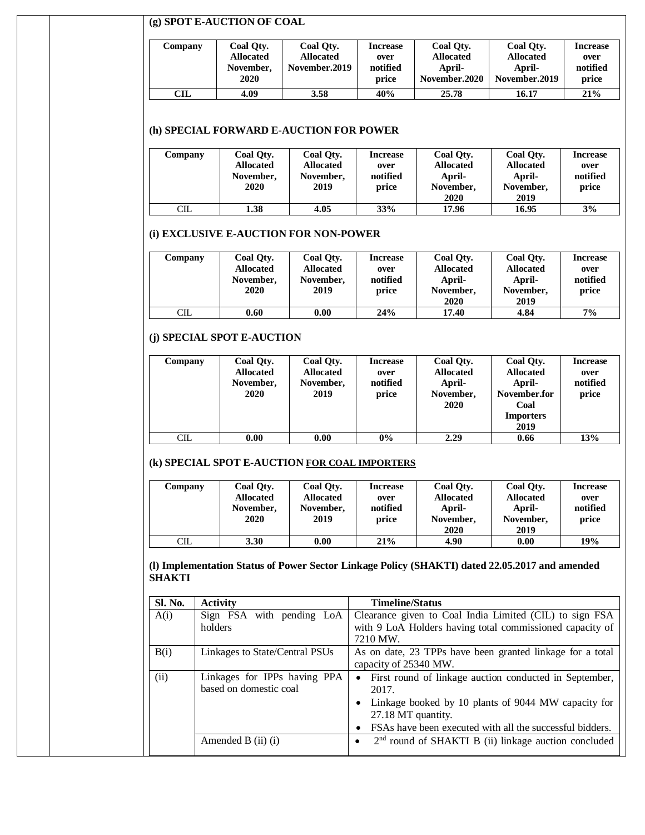# **(g) SPOT E-AUCTION OF COAL**

| <b>CIL</b><br>3.58<br>40%<br>25.78<br>4.09<br>16.17<br>(h) SPECIAL FORWARD E-AUCTION FOR POWER<br>Coal Qty.<br>Coal Qty.<br>Coal Qty.<br>Coal Qty.<br>Company<br><b>Increase</b><br><b>Allocated</b><br><b>Allocated</b><br><b>Allocated</b><br><b>Allocated</b><br>over<br>notified<br>November,<br>November,<br>April-<br>April-<br>2020<br>2019<br>November,<br>November,<br>price<br>2020<br>2019<br>CL<br>1.38<br>4.05<br>33%<br>17.96<br>16.95<br>(i) EXCLUSIVE E-AUCTION FOR NON-POWER | Company | Coal Qty.<br><b>Allocated</b><br>November,<br>2020 | Coal Qty.<br><b>Allocated</b><br>November.2019 | <b>Increase</b><br>over<br>notified<br>price | Coal Qty.<br><b>Allocated</b><br>April-<br>November.2020 | Coal Qty.<br><b>Allocated</b><br>April-<br>November.2019 | <b>Increase</b><br>over<br>notified<br>price |
|-----------------------------------------------------------------------------------------------------------------------------------------------------------------------------------------------------------------------------------------------------------------------------------------------------------------------------------------------------------------------------------------------------------------------------------------------------------------------------------------------|---------|----------------------------------------------------|------------------------------------------------|----------------------------------------------|----------------------------------------------------------|----------------------------------------------------------|----------------------------------------------|
|                                                                                                                                                                                                                                                                                                                                                                                                                                                                                               |         |                                                    |                                                |                                              |                                                          |                                                          | 21%                                          |
|                                                                                                                                                                                                                                                                                                                                                                                                                                                                                               |         |                                                    |                                                |                                              |                                                          |                                                          | <b>Increase</b><br>over<br>notified<br>price |
|                                                                                                                                                                                                                                                                                                                                                                                                                                                                                               |         |                                                    |                                                |                                              |                                                          |                                                          | 3%                                           |
|                                                                                                                                                                                                                                                                                                                                                                                                                                                                                               |         |                                                    |                                                |                                              |                                                          |                                                          |                                              |

| Company | Coal Otv.        | Coal Qty.        | <b>Increase</b> | Coal Oty.        | Coal Oty.        | <b>Increase</b> |
|---------|------------------|------------------|-----------------|------------------|------------------|-----------------|
|         | <b>Allocated</b> | <b>Allocated</b> | over            | <b>Allocated</b> | <b>Allocated</b> | over            |
|         | November,        | November,        | notified        | April-           | April-           | notified        |
|         | 2020             | 2019             | price           | November,        | November,        | price           |
|         |                  |                  |                 | 2020             | 2019             |                 |
| СIL     | 0.60             | 0.00             | 24%             | 17.40            | 4.84             | 7%              |

## **(j) SPECIAL SPOT E-AUCTION**

| Company | Coal Oty.<br><b>Allocated</b><br>November,<br>2020 | Coal Qty.<br><b>Allocated</b><br>November,<br>2019 | <b>Increase</b><br>over<br>notified<br>price | Coal Oty.<br><b>Allocated</b><br>April-<br>November,<br>2020 | Coal Oty.<br><b>Allocated</b><br>April-<br>November.for<br>Coal<br><b>Importers</b><br>2019 | <b>Increase</b><br>over<br>notified<br>price |
|---------|----------------------------------------------------|----------------------------------------------------|----------------------------------------------|--------------------------------------------------------------|---------------------------------------------------------------------------------------------|----------------------------------------------|
| СIL     | 0.00                                               | 0.00                                               | $0\%$                                        | 2.29                                                         | 0.66                                                                                        | 13%                                          |

## **(k) SPECIAL SPOT E-AUCTION FOR COAL IMPORTERS**

| Company | Coal Qty.<br><b>Allocated</b><br>November,<br>2020 | Coal Qty.<br>Allocated<br>November,<br>2019 | <b>Increase</b><br>over<br>notified<br>price | Coal Oty.<br><b>Allocated</b><br>April-<br>November, | Coal Oty.<br><b>Allocated</b><br>April-<br>November, | <b>Increase</b><br>over<br>notified<br>price |
|---------|----------------------------------------------------|---------------------------------------------|----------------------------------------------|------------------------------------------------------|------------------------------------------------------|----------------------------------------------|
|         |                                                    |                                             |                                              | 2020                                                 | 2019                                                 |                                              |
| СIL     | 3.30                                               | 0.00                                        | 21%                                          | 4.90                                                 | 0.00                                                 | 19%                                          |

### **(l) Implementation Status of Power Sector Linkage Policy (SHAKTI) dated 22.05.2017 and amended SHAKTI**

| <b>Sl. No.</b> | <b>Activity</b>                | <b>Timeline/Status</b>                                                |
|----------------|--------------------------------|-----------------------------------------------------------------------|
| A(i)           | Sign FSA with pending LoA      | Clearance given to Coal India Limited (CIL) to sign FSA               |
|                | holders                        | with 9 LoA Holders having total commissioned capacity of              |
|                |                                | 7210 MW.                                                              |
| B(i)           | Linkages to State/Central PSUs | As on date, 23 TPPs have been granted linkage for a total             |
|                |                                | capacity of 25340 MW.                                                 |
| (ii)           | Linkages for IPPs having PPA   | First round of linkage auction conducted in September,<br>$\bullet$   |
|                | based on domestic coal         | 2017.                                                                 |
|                |                                | Linkage booked by 10 plants of 9044 MW capacity for<br>$\bullet$      |
|                |                                | 27.18 MT quantity.                                                    |
|                |                                | FSAs have been executed with all the successful bidders.<br>$\bullet$ |
|                | Amended B $(ii)$ $(i)$         | $2nd$ round of SHAKTI B (ii) linkage auction concluded                |
|                |                                |                                                                       |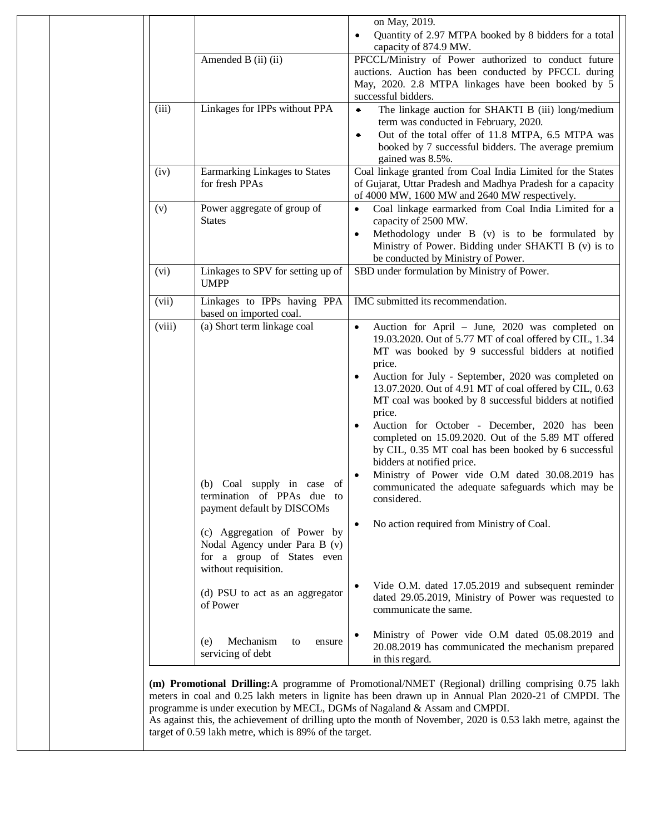|        |                                                                                                                    | on May, 2019.<br>Quantity of 2.97 MTPA booked by 8 bidders for a total<br>capacity of 874.9 MW.                                                                                                                                                                                                                                                                                                                                                                                                                                                                                                                               |
|--------|--------------------------------------------------------------------------------------------------------------------|-------------------------------------------------------------------------------------------------------------------------------------------------------------------------------------------------------------------------------------------------------------------------------------------------------------------------------------------------------------------------------------------------------------------------------------------------------------------------------------------------------------------------------------------------------------------------------------------------------------------------------|
|        | Amended B (ii) (ii)                                                                                                | PFCCL/Ministry of Power authorized to conduct future<br>auctions. Auction has been conducted by PFCCL during<br>May, 2020. 2.8 MTPA linkages have been booked by 5<br>successful bidders.                                                                                                                                                                                                                                                                                                                                                                                                                                     |
| (iii)  | Linkages for IPPs without PPA                                                                                      | The linkage auction for SHAKTI B (iii) long/medium<br>$\bullet$<br>term was conducted in February, 2020.<br>Out of the total offer of 11.8 MTPA, 6.5 MTPA was<br>$\bullet$<br>booked by 7 successful bidders. The average premium<br>gained was 8.5%.                                                                                                                                                                                                                                                                                                                                                                         |
| (iv)   | Earmarking Linkages to States<br>for fresh PPAs                                                                    | Coal linkage granted from Coal India Limited for the States<br>of Gujarat, Uttar Pradesh and Madhya Pradesh for a capacity<br>of 4000 MW, 1600 MW and 2640 MW respectively.                                                                                                                                                                                                                                                                                                                                                                                                                                                   |
| (v)    | Power aggregate of group of<br><b>States</b>                                                                       | Coal linkage earmarked from Coal India Limited for a<br>$\bullet$<br>capacity of 2500 MW.<br>Methodology under B (v) is to be formulated by<br>$\bullet$<br>Ministry of Power. Bidding under SHAKTI B (v) is to<br>be conducted by Ministry of Power.                                                                                                                                                                                                                                                                                                                                                                         |
| (vi)   | Linkages to SPV for setting up of<br><b>UMPP</b>                                                                   | SBD under formulation by Ministry of Power.                                                                                                                                                                                                                                                                                                                                                                                                                                                                                                                                                                                   |
| (vii)  | Linkages to IPPs having PPA<br>based on imported coal.                                                             | IMC submitted its recommendation.                                                                                                                                                                                                                                                                                                                                                                                                                                                                                                                                                                                             |
| (viii) | (a) Short term linkage coal                                                                                        | Auction for April - June, 2020 was completed on<br>$\bullet$<br>19.03.2020. Out of 5.77 MT of coal offered by CIL, 1.34<br>MT was booked by 9 successful bidders at notified<br>price.<br>Auction for July - September, 2020 was completed on<br>13.07.2020. Out of 4.91 MT of coal offered by CIL, 0.63<br>MT coal was booked by 8 successful bidders at notified<br>price.<br>Auction for October - December, 2020 has been<br>completed on 15.09.2020. Out of the 5.89 MT offered<br>by CIL, 0.35 MT coal has been booked by 6 successful<br>bidders at notified price.<br>Ministry of Power vide O.M dated 30.08.2019 has |
|        | (b) Coal supply in case<br>of<br>termination of PPAs due to<br>payment default by DISCOMs                          | communicated the adequate safeguards which may be<br>considered.                                                                                                                                                                                                                                                                                                                                                                                                                                                                                                                                                              |
|        | (c) Aggregation of Power by<br>Nodal Agency under Para B (v)<br>for a group of States even<br>without requisition. | No action required from Ministry of Coal.                                                                                                                                                                                                                                                                                                                                                                                                                                                                                                                                                                                     |
|        | (d) PSU to act as an aggregator<br>of Power                                                                        | Vide O.M. dated 17.05.2019 and subsequent reminder<br>٠<br>dated 29.05.2019, Ministry of Power was requested to<br>communicate the same.                                                                                                                                                                                                                                                                                                                                                                                                                                                                                      |
|        | Mechanism<br>(e)<br>to<br>ensure<br>servicing of debt                                                              | Ministry of Power vide O.M dated 05.08.2019 and<br>20.08.2019 has communicated the mechanism prepared<br>in this regard.                                                                                                                                                                                                                                                                                                                                                                                                                                                                                                      |

target of 0.59 lakh metre, which is 89% of the target.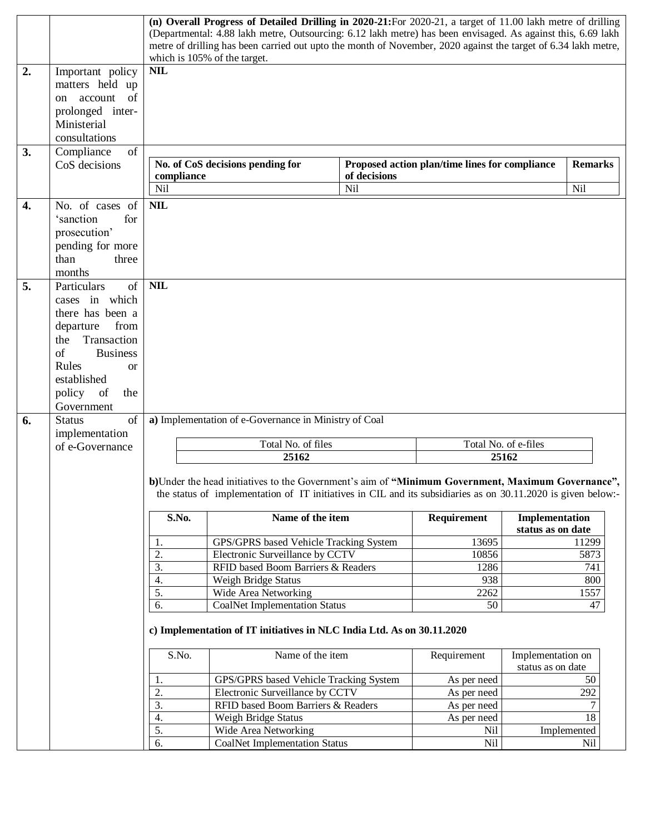|    |                                 | (n) Overall Progress of Detailed Drilling in 2020-21: For 2020-21, a target of 11.00 lakh metre of drilling<br>(Departmental: 4.88 lakh metre, Outsourcing: 6.12 lakh metre) has been envisaged. As against this, 6.69 lakh |                                                                                                                |                                                |                      |                   |                    |  |  |  |
|----|---------------------------------|-----------------------------------------------------------------------------------------------------------------------------------------------------------------------------------------------------------------------------|----------------------------------------------------------------------------------------------------------------|------------------------------------------------|----------------------|-------------------|--------------------|--|--|--|
|    |                                 |                                                                                                                                                                                                                             | metre of drilling has been carried out upto the month of November, 2020 against the target of 6.34 lakh metre, |                                                |                      |                   |                    |  |  |  |
|    |                                 |                                                                                                                                                                                                                             | which is 105% of the target.                                                                                   |                                                |                      |                   |                    |  |  |  |
| 2. | Important policy                | <b>NIL</b>                                                                                                                                                                                                                  |                                                                                                                |                                                |                      |                   |                    |  |  |  |
|    | matters held up                 |                                                                                                                                                                                                                             |                                                                                                                |                                                |                      |                   |                    |  |  |  |
|    | account of<br>on                |                                                                                                                                                                                                                             |                                                                                                                |                                                |                      |                   |                    |  |  |  |
|    | prolonged inter-<br>Ministerial |                                                                                                                                                                                                                             |                                                                                                                |                                                |                      |                   |                    |  |  |  |
|    | consultations                   |                                                                                                                                                                                                                             |                                                                                                                |                                                |                      |                   |                    |  |  |  |
| 3. | of<br>Compliance                |                                                                                                                                                                                                                             |                                                                                                                |                                                |                      |                   |                    |  |  |  |
|    | CoS decisions                   |                                                                                                                                                                                                                             | No. of CoS decisions pending for                                                                               | Proposed action plan/time lines for compliance |                      | <b>Remarks</b>    |                    |  |  |  |
|    |                                 | compliance                                                                                                                                                                                                                  |                                                                                                                | of decisions                                   |                      |                   |                    |  |  |  |
|    |                                 | Nil                                                                                                                                                                                                                         |                                                                                                                | Nil                                            |                      |                   | Nil                |  |  |  |
| 4. | No. of cases of                 | <b>NIL</b>                                                                                                                                                                                                                  |                                                                                                                |                                                |                      |                   |                    |  |  |  |
|    | for<br>'sanction                |                                                                                                                                                                                                                             |                                                                                                                |                                                |                      |                   |                    |  |  |  |
|    | prosecution'                    |                                                                                                                                                                                                                             |                                                                                                                |                                                |                      |                   |                    |  |  |  |
|    | pending for more                |                                                                                                                                                                                                                             |                                                                                                                |                                                |                      |                   |                    |  |  |  |
|    | than<br>three                   |                                                                                                                                                                                                                             |                                                                                                                |                                                |                      |                   |                    |  |  |  |
|    | months                          |                                                                                                                                                                                                                             |                                                                                                                |                                                |                      |                   |                    |  |  |  |
| 5. | Particulars<br>of               | <b>NIL</b>                                                                                                                                                                                                                  |                                                                                                                |                                                |                      |                   |                    |  |  |  |
|    | cases in which                  |                                                                                                                                                                                                                             |                                                                                                                |                                                |                      |                   |                    |  |  |  |
|    | there has been a                |                                                                                                                                                                                                                             |                                                                                                                |                                                |                      |                   |                    |  |  |  |
|    | from<br>departure               |                                                                                                                                                                                                                             |                                                                                                                |                                                |                      |                   |                    |  |  |  |
|    | Transaction<br>the              |                                                                                                                                                                                                                             |                                                                                                                |                                                |                      |                   |                    |  |  |  |
|    | of<br><b>Business</b>           |                                                                                                                                                                                                                             |                                                                                                                |                                                |                      |                   |                    |  |  |  |
|    | Rules<br><b>or</b>              |                                                                                                                                                                                                                             |                                                                                                                |                                                |                      |                   |                    |  |  |  |
|    | established<br>the              |                                                                                                                                                                                                                             |                                                                                                                |                                                |                      |                   |                    |  |  |  |
|    | policy<br>of<br>Government      |                                                                                                                                                                                                                             |                                                                                                                |                                                |                      |                   |                    |  |  |  |
| 6. | of<br><b>Status</b>             |                                                                                                                                                                                                                             |                                                                                                                |                                                |                      |                   |                    |  |  |  |
|    | implementation                  | a) Implementation of e-Governance in Ministry of Coal                                                                                                                                                                       |                                                                                                                |                                                |                      |                   |                    |  |  |  |
|    | of e-Governance                 |                                                                                                                                                                                                                             | Total No. of files                                                                                             |                                                | Total No. of e-files |                   |                    |  |  |  |
|    |                                 | 25162                                                                                                                                                                                                                       |                                                                                                                |                                                | 25162                |                   |                    |  |  |  |
|    |                                 |                                                                                                                                                                                                                             |                                                                                                                |                                                |                      |                   |                    |  |  |  |
|    |                                 | b)Under the head initiatives to the Government's aim of "Minimum Government, Maximum Governance",                                                                                                                           |                                                                                                                |                                                |                      |                   |                    |  |  |  |
|    |                                 | the status of implementation of IT initiatives in CIL and its subsidiaries as on 30.11.2020 is given below:-                                                                                                                |                                                                                                                |                                                |                      |                   |                    |  |  |  |
|    |                                 | S.No.                                                                                                                                                                                                                       | Name of the item                                                                                               |                                                | Requirement          | Implementation    |                    |  |  |  |
|    |                                 |                                                                                                                                                                                                                             |                                                                                                                |                                                |                      | status as on date |                    |  |  |  |
|    |                                 | 1.                                                                                                                                                                                                                          | GPS/GPRS based Vehicle Tracking System                                                                         |                                                | 13695                |                   | 11299              |  |  |  |
|    |                                 | 2.                                                                                                                                                                                                                          | Electronic Surveillance by CCTV                                                                                |                                                | 10856                |                   | 5873               |  |  |  |
|    |                                 | 3.                                                                                                                                                                                                                          | RFID based Boom Barriers & Readers                                                                             |                                                | 1286                 |                   | 741                |  |  |  |
|    |                                 | $\overline{4}$ .<br>5.                                                                                                                                                                                                      | Weigh Bridge Status<br>Wide Area Networking                                                                    |                                                | 938<br>2262          |                   | 800                |  |  |  |
|    |                                 | 6.                                                                                                                                                                                                                          | <b>CoalNet Implementation Status</b>                                                                           |                                                | 50                   |                   | 1557<br>47         |  |  |  |
|    |                                 |                                                                                                                                                                                                                             |                                                                                                                |                                                |                      |                   |                    |  |  |  |
|    |                                 | c) Implementation of IT initiatives in NLC India Ltd. As on 30.11.2020                                                                                                                                                      |                                                                                                                |                                                |                      |                   |                    |  |  |  |
|    |                                 | S.No.                                                                                                                                                                                                                       | Name of the item                                                                                               |                                                | Requirement          | Implementation on |                    |  |  |  |
|    |                                 |                                                                                                                                                                                                                             |                                                                                                                |                                                |                      | status as on date |                    |  |  |  |
|    |                                 | 1.                                                                                                                                                                                                                          | GPS/GPRS based Vehicle Tracking System                                                                         |                                                | As per need          |                   | 50                 |  |  |  |
|    |                                 | 2.                                                                                                                                                                                                                          | Electronic Surveillance by CCTV                                                                                |                                                | As per need          |                   | 292                |  |  |  |
|    |                                 | 3.                                                                                                                                                                                                                          | RFID based Boom Barriers & Readers                                                                             |                                                | As per need          |                   | 7                  |  |  |  |
|    |                                 | 4.                                                                                                                                                                                                                          | Weigh Bridge Status                                                                                            |                                                | As per need          |                   | 18                 |  |  |  |
|    |                                 | 5.<br>6.                                                                                                                                                                                                                    | Wide Area Networking<br><b>CoalNet Implementation Status</b>                                                   |                                                | Nil<br>Nil           |                   | Implemented<br>Nil |  |  |  |
|    |                                 |                                                                                                                                                                                                                             |                                                                                                                |                                                |                      |                   |                    |  |  |  |